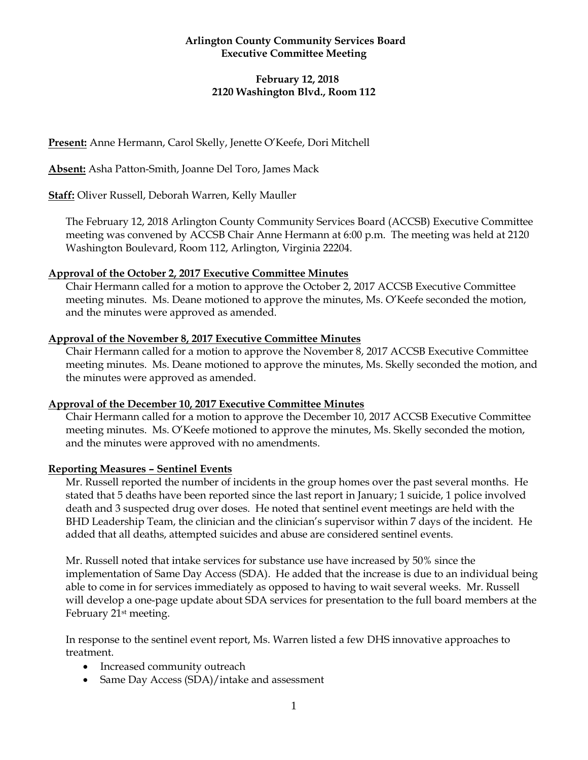#### **Arlington County Community Services Board Executive Committee Meeting**

# **February 12, 2018 2120 Washington Blvd., Room 112**

**Present:** Anne Hermann, Carol Skelly, Jenette O'Keefe, Dori Mitchell

**Absent:** Asha Patton-Smith, Joanne Del Toro, James Mack

**Staff:** Oliver Russell, Deborah Warren, Kelly Mauller

The February 12, 2018 Arlington County Community Services Board (ACCSB) Executive Committee meeting was convened by ACCSB Chair Anne Hermann at 6:00 p.m. The meeting was held at 2120 Washington Boulevard, Room 112, Arlington, Virginia 22204.

# **Approval of the October 2, 2017 Executive Committee Minutes**

Chair Hermann called for a motion to approve the October 2, 2017 ACCSB Executive Committee meeting minutes. Ms. Deane motioned to approve the minutes, Ms. O'Keefe seconded the motion, and the minutes were approved as amended.

# **Approval of the November 8, 2017 Executive Committee Minutes**

Chair Hermann called for a motion to approve the November 8, 2017 ACCSB Executive Committee meeting minutes. Ms. Deane motioned to approve the minutes, Ms. Skelly seconded the motion, and the minutes were approved as amended.

# **Approval of the December 10, 2017 Executive Committee Minutes**

Chair Hermann called for a motion to approve the December 10, 2017 ACCSB Executive Committee meeting minutes. Ms. O'Keefe motioned to approve the minutes, Ms. Skelly seconded the motion, and the minutes were approved with no amendments.

# **Reporting Measures – Sentinel Events**

Mr. Russell reported the number of incidents in the group homes over the past several months. He stated that 5 deaths have been reported since the last report in January; 1 suicide, 1 police involved death and 3 suspected drug over doses. He noted that sentinel event meetings are held with the BHD Leadership Team, the clinician and the clinician's supervisor within 7 days of the incident. He added that all deaths, attempted suicides and abuse are considered sentinel events.

Mr. Russell noted that intake services for substance use have increased by 50% since the implementation of Same Day Access (SDA). He added that the increase is due to an individual being able to come in for services immediately as opposed to having to wait several weeks. Mr. Russell will develop a one-page update about SDA services for presentation to the full board members at the February 21<sup>st</sup> meeting.

In response to the sentinel event report, Ms. Warren listed a few DHS innovative approaches to treatment.

- Increased community outreach
- Same Day Access (SDA)/intake and assessment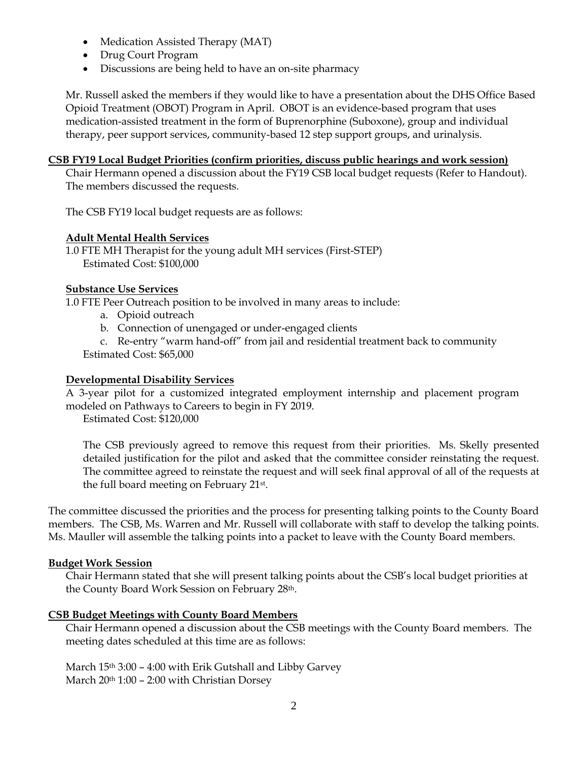- Medication Assisted Therapy (MAT)
- Drug Court Program
- Discussions are being held to have an on-site pharmacy

Mr. Russell asked the members if they would like to have a presentation about the DHS Office Based Opioid Treatment (OBOT) Program in April. OBOT is an evidence-based program that uses medication-assisted treatment in the form of Buprenorphine (Suboxone), group and individual therapy, peer support services, community-based 12 step support groups, and urinalysis.

# **CSB FY19 Local Budget Priorities (confirm priorities, discuss public hearings and work session)**

Chair Hermann opened a discussion about the FY19 CSB local budget requests (Refer to Handout). The members discussed the requests.

The CSB FY19 local budget requests are as follows:

# **Adult Mental Health Services**

1.0 FTE MH Therapist for the young adult MH services (First-STEP) Estimated Cost: \$100,000

# **Substance Use Services**

1.0 FTE Peer Outreach position to be involved in many areas to include:

- a. Opioid outreach
- b. Connection of unengaged or under-engaged clients
- c. Re-entry "warm hand-off" from jail and residential treatment back to community Estimated Cost: \$65,000

# **Developmental Disability Services**

A 3-year pilot for a customized integrated employment internship and placement program modeled on Pathways to Careers to begin in FY 2019.

Estimated Cost: \$120,000

The CSB previously agreed to remove this request from their priorities. Ms. Skelly presented detailed justification for the pilot and asked that the committee consider reinstating the request. The committee agreed to reinstate the request and will seek final approval of all of the requests at the full board meeting on February 21st .

The committee discussed the priorities and the process for presenting talking points to the County Board members. The CSB, Ms. Warren and Mr. Russell will collaborate with staff to develop the talking points. Ms. Mauller will assemble the talking points into a packet to leave with the County Board members.

# **Budget Work Session**

Chair Hermann stated that she will present talking points about the CSB's local budget priorities at the County Board Work Session on February 28th.

# **CSB Budget Meetings with County Board Members**

Chair Hermann opened a discussion about the CSB meetings with the County Board members. The meeting dates scheduled at this time are as follows:

March 15th 3:00 – 4:00 with Erik Gutshall and Libby Garvey March 20<sup>th</sup> 1:00 – 2:00 with Christian Dorsey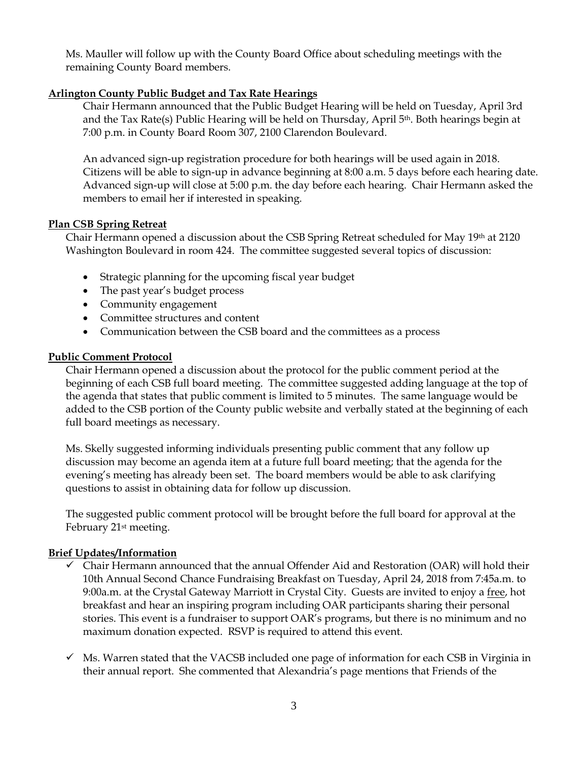Ms. Mauller will follow up with the County Board Office about scheduling meetings with the remaining County Board members.

# **Arlington County Public Budget and Tax Rate Hearings**

Chair Hermann announced that the Public Budget Hearing will be held on Tuesday, April 3rd and the Tax Rate(s) Public Hearing will be held on Thursday, April 5th. Both hearings begin at 7:00 p.m. in County Board Room 307, 2100 Clarendon Boulevard.

An advanced sign-up registration procedure for both hearings will be used again in 2018. Citizens will be able to sign-up in advance beginning at 8:00 a.m. 5 days before each hearing date. Advanced sign-up will close at 5:00 p.m. the day before each hearing. Chair Hermann asked the members to email her if interested in speaking.

# **Plan CSB Spring Retreat**

Chair Hermann opened a discussion about the CSB Spring Retreat scheduled for May 19th at 2120 Washington Boulevard in room 424. The committee suggested several topics of discussion:

- Strategic planning for the upcoming fiscal year budget
- The past year's budget process
- Community engagement
- Committee structures and content
- Communication between the CSB board and the committees as a process

# **Public Comment Protocol**

Chair Hermann opened a discussion about the protocol for the public comment period at the beginning of each CSB full board meeting. The committee suggested adding language at the top of the agenda that states that public comment is limited to 5 minutes. The same language would be added to the CSB portion of the County public website and verbally stated at the beginning of each full board meetings as necessary.

Ms. Skelly suggested informing individuals presenting public comment that any follow up discussion may become an agenda item at a future full board meeting; that the agenda for the evening's meeting has already been set. The board members would be able to ask clarifying questions to assist in obtaining data for follow up discussion.

The suggested public comment protocol will be brought before the full board for approval at the February 21st meeting.

# **Brief Updates/Information**

- $\checkmark$  Chair Hermann announced that the annual Offender Aid and Restoration (OAR) will hold their 10th Annual Second Chance Fundraising Breakfast on Tuesday, April 24, 2018 from 7:45a.m. to 9:00a.m. at the Crystal Gateway Marriott in Crystal City. Guests are invited to enjoy a free, hot breakfast and hear an inspiring program including OAR participants sharing their personal stories. This event is a fundraiser to support OAR's programs, but there is no minimum and no maximum donation expected. RSVP is required to attend this event.
- $\checkmark$  Ms. Warren stated that the VACSB included one page of information for each CSB in Virginia in their annual report. She commented that Alexandria's page mentions that Friends of the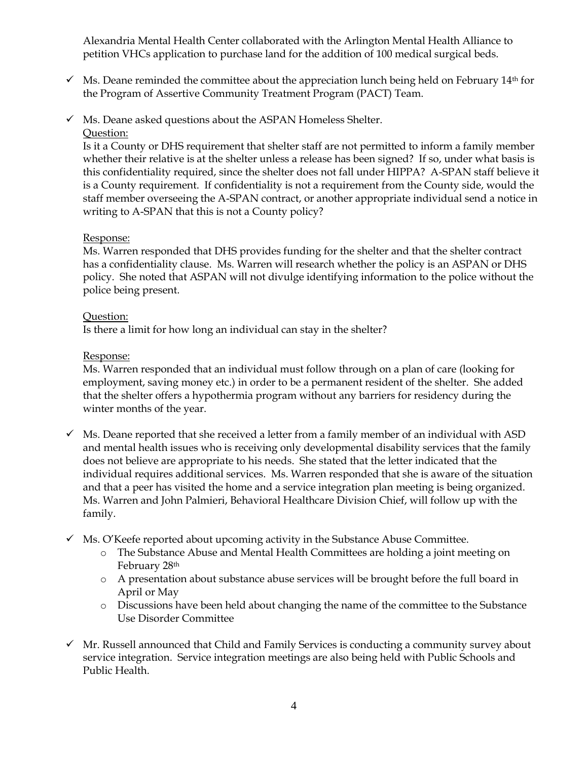Alexandria Mental Health Center collaborated with the Arlington Mental Health Alliance to petition VHCs application to purchase land for the addition of 100 medical surgical beds.

- $\checkmark$  Ms. Deane reminded the committee about the appreciation lunch being held on February 14<sup>th</sup> for the Program of Assertive Community Treatment Program (PACT) Team.
- $\checkmark$  Ms. Deane asked questions about the ASPAN Homeless Shelter. Question:

Is it a County or DHS requirement that shelter staff are not permitted to inform a family member whether their relative is at the shelter unless a release has been signed? If so, under what basis is this confidentiality required, since the shelter does not fall under HIPPA? A-SPAN staff believe it is a County requirement. If confidentiality is not a requirement from the County side, would the staff member overseeing the A-SPAN contract, or another appropriate individual send a notice in writing to A-SPAN that this is not a County policy?

# Response:

Ms. Warren responded that DHS provides funding for the shelter and that the shelter contract has a confidentiality clause. Ms. Warren will research whether the policy is an ASPAN or DHS policy. She noted that ASPAN will not divulge identifying information to the police without the police being present.

# Question:

Is there a limit for how long an individual can stay in the shelter?

# Response:

Ms. Warren responded that an individual must follow through on a plan of care (looking for employment, saving money etc.) in order to be a permanent resident of the shelter. She added that the shelter offers a hypothermia program without any barriers for residency during the winter months of the year.

- $\checkmark$  Ms. Deane reported that she received a letter from a family member of an individual with ASD and mental health issues who is receiving only developmental disability services that the family does not believe are appropriate to his needs. She stated that the letter indicated that the individual requires additional services. Ms. Warren responded that she is aware of the situation and that a peer has visited the home and a service integration plan meeting is being organized. Ms. Warren and John Palmieri, Behavioral Healthcare Division Chief, will follow up with the family.
- $\checkmark$  Ms. O'Keefe reported about upcoming activity in the Substance Abuse Committee.
	- o The Substance Abuse and Mental Health Committees are holding a joint meeting on February 28th
	- o A presentation about substance abuse services will be brought before the full board in April or May
	- o Discussions have been held about changing the name of the committee to the Substance Use Disorder Committee
- $\checkmark$  Mr. Russell announced that Child and Family Services is conducting a community survey about service integration. Service integration meetings are also being held with Public Schools and Public Health.